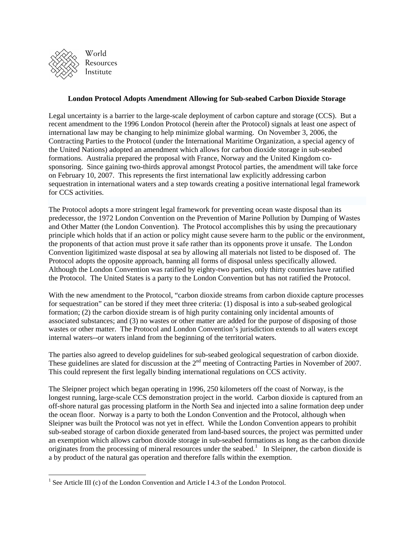

 $\overline{a}$ 

## **London Protocol Adopts Amendment Allowing for Sub-seabed Carbon Dioxide Storage**

Legal uncertainty is a barrier to the large-scale deployment of carbon capture and storage (CCS). But a recent amendment to the 1996 London Protocol (herein after the Protocol) signals at least one aspect of international law may be changing to help minimize global warming. On November 3, 2006, the Contracting Parties to the Protocol (under the International Maritime Organization, a special agency of the United Nations) adopted an amendment which allows for carbon dioxide storage in sub-seabed formations. Australia prepared the proposal with France, Norway and the United Kingdom cosponsoring. Since gaining two-thirds approval amongst Protocol parties, the amendment will take force on February 10, 2007. This represents the first international law explicitly addressing carbon sequestration in international waters and a step towards creating a positive international legal framework for CCS activities.

The Protocol adopts a more stringent legal framework for preventing ocean waste disposal than its predecessor, the 1972 London Convention on the Prevention of Marine Pollution by Dumping of Wastes and Other Matter (the London Convention). The Protocol accomplishes this by using the precautionary principle which holds that if an action or policy might cause severe harm to the public or the environment, the proponents of that action must prove it safe rather than its opponents prove it unsafe. The London Convention ligitimized waste disposal at sea by allowing all materials not listed to be disposed of. The Protocol adopts the opposite approach, banning all forms of disposal unless specifically allowed. Although the London Convention was ratified by eighty-two parties, only thirty countries have ratified the Protocol. The United States is a party to the London Convention but has not ratified the Protocol.

With the new amendment to the Protocol, "carbon dioxide streams from carbon dioxide capture processes for sequestration" can be stored if they meet three criteria: (1) disposal is into a sub-seabed geological formation; (2) the carbon dioxide stream is of high purity containing only incidental amounts of associated substances; and (3) no wastes or other matter are added for the purpose of disposing of those wastes or other matter. The Protocol and London Convention's jurisdiction extends to all waters except internal waters--or waters inland from the beginning of the territorial waters.

The parties also agreed to develop guidelines for sub-seabed geological sequestration of carbon dioxide. These guidelines are slated for discussion at the 2<sup>nd</sup> meeting of Contracting Parties in November of 2007. This could represent the first legally binding international regulations on CCS activity.

The Sleipner project which began operating in 1996, 250 kilometers off the coast of Norway, is the longest running, large-scale CCS demonstration project in the world. Carbon dioxide is captured from an off-shore natural gas processing platform in the North Sea and injected into a saline formation deep under the ocean floor. Norway is a party to both the London Convention and the Protocol, although when Sleipner was built the Protocol was not yet in effect. While the London Convention appears to prohibit sub-seabed storage of carbon dioxide generated from land-based sources, the project was permitted under an exemption which allows carbon dioxide storage in sub-seabed formations as long as the carbon dioxide originates from the processing of mineral resources under the seabed.<sup>1</sup> In Sleipner, the carbon dioxide is a by product of the natural gas operation and therefore falls within the exemption.

<sup>&</sup>lt;sup>1</sup> See Article III (c) of the London Convention and Article I 4.3 of the London Protocol.